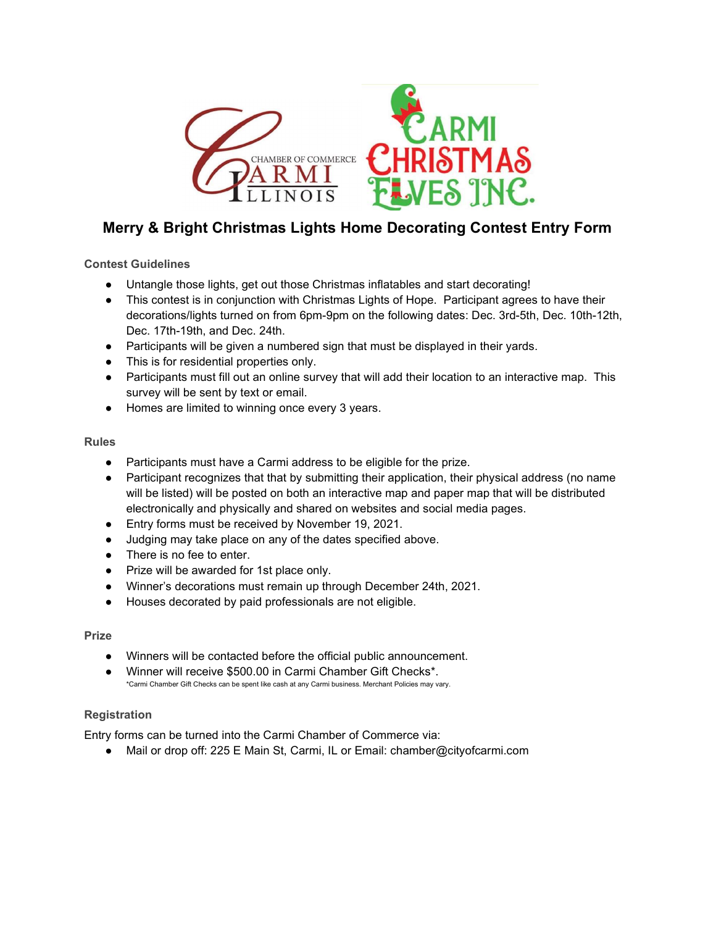

# Merry & Bright Christmas Lights Home Decorating Contest Entry Form

## Contest Guidelines

- Untangle those lights, get out those Christmas inflatables and start decorating!
- This contest is in conjunction with Christmas Lights of Hope. Participant agrees to have their decorations/lights turned on from 6pm-9pm on the following dates: Dec. 3rd-5th, Dec. 10th-12th, Dec. 17th-19th, and Dec. 24th.
- Participants will be given a numbered sign that must be displayed in their yards.
- This is for residential properties only.
- Participants must fill out an online survey that will add their location to an interactive map. This survey will be sent by text or email.
- Homes are limited to winning once every 3 years.

#### Rules

- Participants must have a Carmi address to be eligible for the prize.
- Participant recognizes that that by submitting their application, their physical address (no name will be listed) will be posted on both an interactive map and paper map that will be distributed electronically and physically and shared on websites and social media pages.
- Entry forms must be received by November 19, 2021.
- Judging may take place on any of the dates specified above.
- There is no fee to enter.
- Prize will be awarded for 1st place only.
- Winner's decorations must remain up through December 24th, 2021.
- Houses decorated by paid professionals are not eligible.

#### Prize

- Winners will be contacted before the official public announcement.
- Winner will receive \$500.00 in Carmi Chamber Gift Checks\*. \*Carmi Chamber Gift Checks can be spent like cash at any Carmi business. Merchant Policies may vary.

### Registration

Entry forms can be turned into the Carmi Chamber of Commerce via:

● Mail or drop off: 225 E Main St, Carmi, IL or Email: chamber@cityofcarmi.com